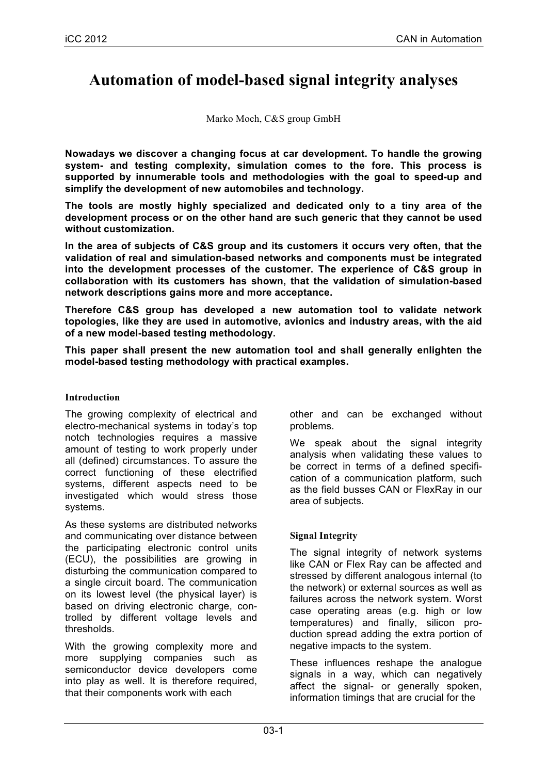# **Automation of model-based signal integrity analyses**

Marko Moch, C&S group GmbH

**Nowadays we discover a changing focus at car development. To handle the growing system- and testing complexity, simulation comes to the fore. This process is supported by innumerable tools and methodologies with the goal to speed-up and simplify the development of new automobiles and technology.** 

**The tools are mostly highly specialized and dedicated only to a tiny area of the development process or on the other hand are such generic that they cannot be used without customization.**

**In the area of subjects of C&S group and its customers it occurs very often, that the validation of real and simulation-based networks and components must be integrated into the development processes of the customer. The experience of C&S group in collaboration with its customers has shown, that the validation of simulation-based network descriptions gains more and more acceptance.**

**Therefore C&S group has developed a new automation tool to validate network topologies, like they are used in automotive, avionics and industry areas, with the aid of a new model-based testing methodology.** 

**This paper shall present the new automation tool and shall generally enlighten the model-based testing methodology with practical examples.**

## **Introduction**

The growing complexity of electrical and electro-mechanical systems in today's top notch technologies requires a massive amount of testing to work properly under all (defined) circumstances. To assure the correct functioning of these electrified systems, different aspects need to be investigated which would stress those systems.

As these systems are distributed networks and communicating over distance between the participating electronic control units (ECU), the possibilities are growing in disturbing the communication compared to a single circuit board. The communication on its lowest level (the physical layer) is based on driving electronic charge, controlled by different voltage levels and thresholds.

With the growing complexity more and more supplying companies such as semiconductor device developers come into play as well. It is therefore required, that their components work with each

other and can be exchanged without problems.

We speak about the signal integrity analysis when validating these values to be correct in terms of a defined specification of a communication platform, such as the field busses CAN or FlexRay in our area of subjects.

## **Signal Integrity**

The signal integrity of network systems like CAN or Flex Ray can be affected and stressed by different analogous internal (to the network) or external sources as well as failures across the network system. Worst case operating areas (e.g. high or low temperatures) and finally, silicon production spread adding the extra portion of negative impacts to the system.

These influences reshape the analogue signals in a way, which can negatively affect the signal- or generally spoken, information timings that are crucial for the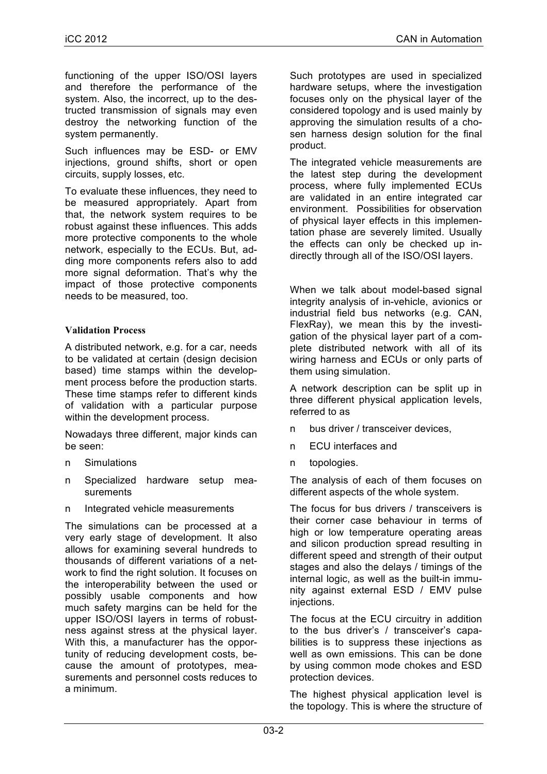functioning of the upper ISO/OSI layers and therefore the performance of the system. Also, the incorrect, up to the destructed transmission of signals may even destroy the networking function of the system permanently.

Such influences may be ESD- or EMV injections, ground shifts, short or open circuits, supply losses, etc.

To evaluate these influences, they need to be measured appropriately. Apart from that, the network system requires to be robust against these influences. This adds more protective components to the whole network, especially to the ECUs. But, adding more components refers also to add more signal deformation. That's why the impact of those protective components needs to be measured, too.

## **Validation Process**

A distributed network, e.g. for a car, needs to be validated at certain (design decision based) time stamps within the development process before the production starts. These time stamps refer to different kinds of validation with a particular purpose within the development process.

Nowadays three different, major kinds can be seen:

- n Simulations
- n Specialized hardware setup measurements
- n Integrated vehicle measurements

The simulations can be processed at a very early stage of development. It also allows for examining several hundreds to thousands of different variations of a network to find the right solution. It focuses on the interoperability between the used or possibly usable components and how much safety margins can be held for the upper ISO/OSI layers in terms of robustness against stress at the physical layer. With this, a manufacturer has the opportunity of reducing development costs, because the amount of prototypes, measurements and personnel costs reduces to a minimum.

Such prototypes are used in specialized hardware setups, where the investigation focuses only on the physical layer of the considered topology and is used mainly by approving the simulation results of a chosen harness design solution for the final product.

The integrated vehicle measurements are the latest step during the development process, where fully implemented ECUs are validated in an entire integrated car environment. Possibilities for observation of physical layer effects in this implementation phase are severely limited. Usually the effects can only be checked up indirectly through all of the ISO/OSI layers.

When we talk about model-based signal integrity analysis of in-vehicle, avionics or industrial field bus networks (e.g. CAN, FlexRay), we mean this by the investigation of the physical layer part of a complete distributed network with all of its wiring harness and ECUs or only parts of them using simulation.

A network description can be split up in three different physical application levels, referred to as

- n bus driver / transceiver devices,
- n ECU interfaces and
- n topologies.

The analysis of each of them focuses on different aspects of the whole system.

The focus for bus drivers / transceivers is their corner case behaviour in terms of high or low temperature operating areas and silicon production spread resulting in different speed and strength of their output stages and also the delays / timings of the internal logic, as well as the built-in immunity against external ESD / EMV pulse injections.

The focus at the ECU circuitry in addition to the bus driver's / transceiver's capabilities is to suppress these injections as well as own emissions. This can be done by using common mode chokes and ESD protection devices.

The highest physical application level is the topology. This is where the structure of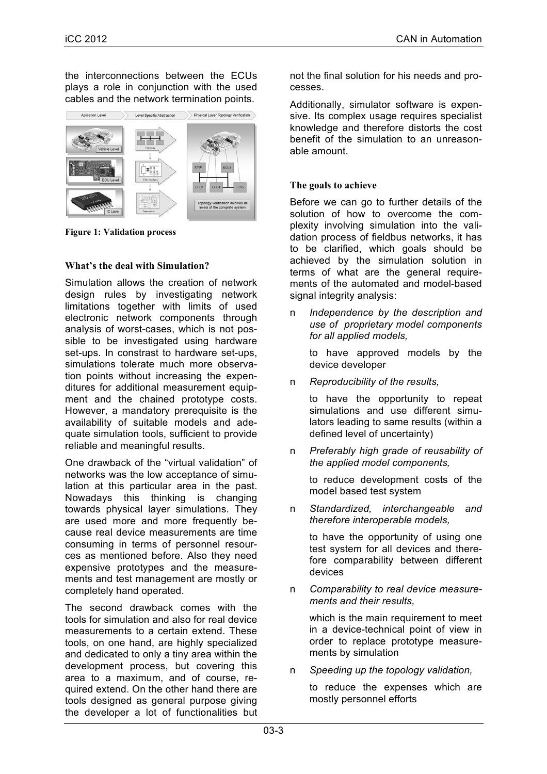the interconnections between the ECUs plays a role in conjunction with the used cables and the network termination points.



**Figure 1: Validation process**

# **What's the deal with Simulation?**

Simulation allows the creation of network design rules by investigating network limitations together with limits of used electronic network components through analysis of worst-cases, which is not possible to be investigated using hardware set-ups. In constrast to hardware set-ups, simulations tolerate much more observation points without increasing the expenditures for additional measurement equipment and the chained prototype costs. However, a mandatory prerequisite is the availability of suitable models and adequate simulation tools, sufficient to provide reliable and meaningful results.

One drawback of the "virtual validation" of networks was the low acceptance of simulation at this particular area in the past. Nowadays this thinking is changing towards physical layer simulations. They are used more and more frequently because real device measurements are time consuming in terms of personnel resources as mentioned before. Also they need expensive prototypes and the measurements and test management are mostly or completely hand operated.

The second drawback comes with the tools for simulation and also for real device measurements to a certain extend. These tools, on one hand, are highly specialized and dedicated to only a tiny area within the development process, but covering this area to a maximum, and of course, required extend. On the other hand there are tools designed as general purpose giving the developer a lot of functionalities but not the final solution for his needs and processes.

Additionally, simulator software is expensive. Its complex usage requires specialist knowledge and therefore distorts the cost benefit of the simulation to an unreasonable amount.

# **The goals to achieve**

Before we can go to further details of the solution of how to overcome the complexity involving simulation into the validation process of fieldbus networks, it has to be clarified, which goals should be achieved by the simulation solution in terms of what are the general requirements of the automated and model-based signal integrity analysis:

n *Independence by the description and use of proprietary model components for all applied models,*

to have approved models by the device developer

n *Reproducibility of the results,*

to have the opportunity to repeat simulations and use different simulators leading to same results (within a defined level of uncertainty)

n *Preferably high grade of reusability of the applied model components,*

to reduce development costs of the model based test system

n *Standardized, interchangeable and therefore interoperable models,*

to have the opportunity of using one test system for all devices and therefore comparability between different devices

n *Comparability to real device measurements and their results,*

which is the main requirement to meet in a device-technical point of view in order to replace prototype measurements by simulation

n *Speeding up the topology validation,*

to reduce the expenses which are mostly personnel efforts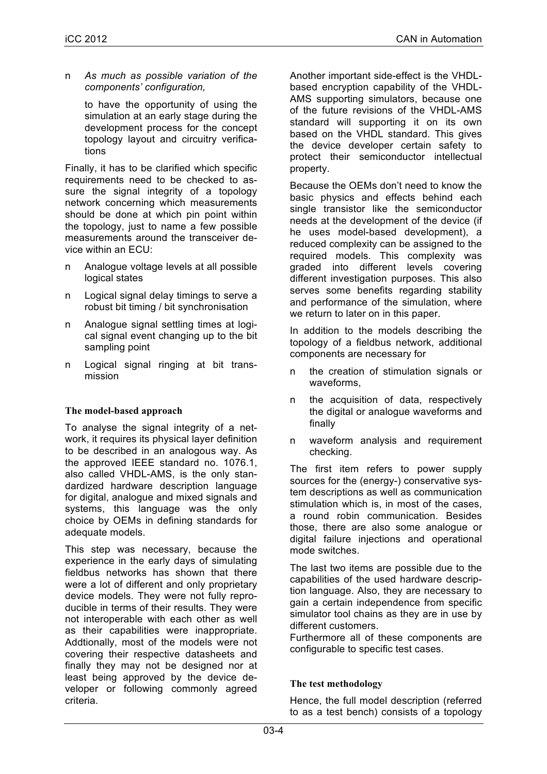n *As much as possible variation of the components' configuration,*

to have the opportunity of using the simulation at an early stage during the development process for the concept topology layout and circuitry verifications

Finally, it has to be clarified which specific requirements need to be checked to assure the signal integrity of a topology network concerning which measurements should be done at which pin point within the topology, just to name a few possible measurements around the transceiver device within an ECU:

- n Analogue voltage levels at all possible logical states
- n Logical signal delay timings to serve a robust bit timing / bit synchronisation
- n Analogue signal settling times at logical signal event changing up to the bit sampling point
- n Logical signal ringing at bit transmission

## **The model-based approach**

To analyse the signal integrity of a network, it requires its physical layer definition to be described in an analogous way. As the approved IEEE standard no. 1076.1, also called VHDL-AMS, is the only standardized hardware description language for digital, analogue and mixed signals and systems, this language was the only choice by OEMs in defining standards for adequate models.

This step was necessary, because the experience in the early days of simulating fieldbus networks has shown that there were a lot of different and only proprietary device models. They were not fully reproducible in terms of their results. They were not interoperable with each other as well as their capabilities were inappropriate. Addtionally, most of the models were not covering their respective datasheets and finally they may not be designed nor at least being approved by the device developer or following commonly agreed criteria.

Another important side-effect is the VHDLbased encryption capability of the VHDL-AMS supporting simulators, because one of the future revisions of the VHDL-AMS standard will supporting it on its own based on the VHDL standard. This gives the device developer certain safety to protect their semiconductor intellectual property.

Because the OEMs don't need to know the basic physics and effects behind each single transistor like the semiconductor needs at the development of the device (if he uses model-based development), a reduced complexity can be assigned to the required models. This complexity was graded into different levels covering different investigation purposes. This also serves some benefits regarding stability and performance of the simulation, where we return to later on in this paper.

In addition to the models describing the topology of a fieldbus network, additional components are necessary for

- n the creation of stimulation signals or waveforms,
- n the acquisition of data, respectively the digital or analogue waveforms and finally
- n waveform analysis and requirement checking.

The first item refers to power supply sources for the (energy-) conservative system descriptions as well as communication stimulation which is, in most of the cases, a round robin communication. Besides those, there are also some analogue or digital failure injections and operational mode switches.

The last two items are possible due to the capabilities of the used hardware description language. Also, they are necessary to gain a certain independence from specific simulator tool chains as they are in use by different customers.

Furthermore all of these components are configurable to specific test cases.

## **The test methodology**

Hence, the full model description (referred to as a test bench) consists of a topology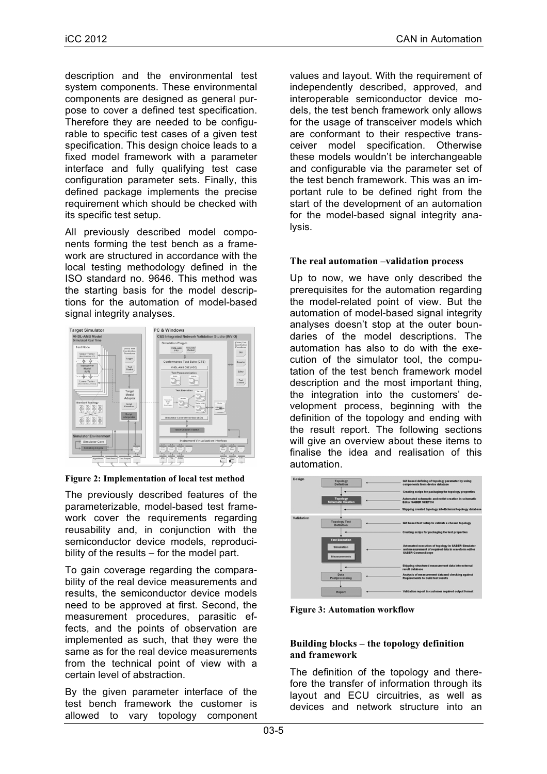description and the environmental test system components. These environmental components are designed as general purpose to cover a defined test specification. Therefore they are needed to be configurable to specific test cases of a given test specification. This design choice leads to a fixed model framework with a parameter interface and fully qualifying test case configuration parameter sets. Finally, this defined package implements the precise requirement which should be checked with its specific test setup.

All previously described model components forming the test bench as a framework are structured in accordance with the local testing methodology defined in the ISO standard no. 9646. This method was the starting basis for the model descriptions for the automation of model-based signal integrity analyses.



**Figure 2: Implementation of local test method**

The previously described features of the parameterizable, model-based test framework cover the requirements regarding reusability and, in conjunction with the semiconductor device models, reproducibility of the results – for the model part.

To gain coverage regarding the comparability of the real device measurements and results, the semiconductor device models need to be approved at first. Second, the measurement procedures, parasitic effects, and the points of observation are implemented as such, that they were the same as for the real device measurements from the technical point of view with a certain level of abstraction.

By the given parameter interface of the test bench framework the customer is allowed to vary topology component values and layout. With the requirement of independently described, approved, and interoperable semiconductor device models, the test bench framework only allows for the usage of transceiver models which are conformant to their respective transceiver model specification. Otherwise these models wouldn't be interchangeable and configurable via the parameter set of the test bench framework. This was an important rule to be defined right from the start of the development of an automation for the model-based signal integrity analysis.

# **The real automation –validation process**

Up to now, we have only described the prerequisites for the automation regarding the model-related point of view. But the automation of model-based signal integrity analyses doesn't stop at the outer boundaries of the model descriptions. The automation has also to do with the execution of the simulator tool, the computation of the test bench framework model description and the most important thing, the integration into the customers' development process, beginning with the definition of the topology and ending with the result report. The following sections will give an overview about these items to finalise the idea and realisation of this automation.



**Figure 3: Automation workflow**

#### **Building blocks – the topology definition and framework**

The definition of the topology and therefore the transfer of information through its layout and ECU circuitries, as well as devices and network structure into an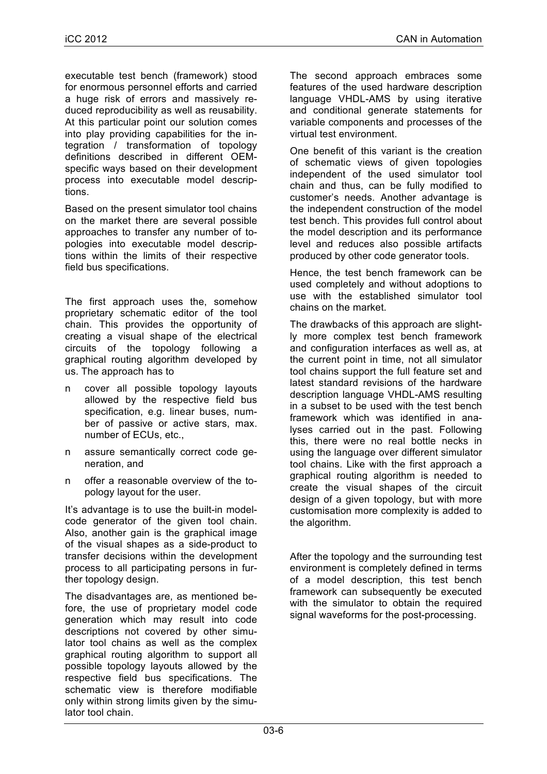executable test bench (framework) stood for enormous personnel efforts and carried a huge risk of errors and massively reduced reproducibility as well as reusability. At this particular point our solution comes into play providing capabilities for the integration / transformation of topology definitions described in different OEMspecific ways based on their development process into executable model descriptions.

Based on the present simulator tool chains on the market there are several possible approaches to transfer any number of topologies into executable model descriptions within the limits of their respective field bus specifications.

The first approach uses the, somehow proprietary schematic editor of the tool chain. This provides the opportunity of creating a visual shape of the electrical circuits of the topology following a graphical routing algorithm developed by us. The approach has to

- n cover all possible topology layouts allowed by the respective field bus specification, e.g. linear buses, number of passive or active stars, max. number of ECUs, etc.,
- n assure semantically correct code generation, and
- n offer a reasonable overview of the topology layout for the user.

It's advantage is to use the built-in modelcode generator of the given tool chain. Also, another gain is the graphical image of the visual shapes as a side-product to transfer decisions within the development process to all participating persons in further topology design.

The disadvantages are, as mentioned before, the use of proprietary model code generation which may result into code descriptions not covered by other simulator tool chains as well as the complex graphical routing algorithm to support all possible topology layouts allowed by the respective field bus specifications. The schematic view is therefore modifiable only within strong limits given by the simulator tool chain.

The second approach embraces some features of the used hardware description language VHDL-AMS by using iterative and conditional generate statements for variable components and processes of the virtual test environment.

One benefit of this variant is the creation of schematic views of given topologies independent of the used simulator tool chain and thus, can be fully modified to customer's needs. Another advantage is the independent construction of the model test bench. This provides full control about the model description and its performance level and reduces also possible artifacts produced by other code generator tools.

Hence, the test bench framework can be used completely and without adoptions to use with the established simulator tool chains on the market.

The drawbacks of this approach are slightly more complex test bench framework and configuration interfaces as well as, at the current point in time, not all simulator tool chains support the full feature set and latest standard revisions of the hardware description language VHDL-AMS resulting in a subset to be used with the test bench framework which was identified in analyses carried out in the past. Following this, there were no real bottle necks in using the language over different simulator tool chains. Like with the first approach a graphical routing algorithm is needed to create the visual shapes of the circuit design of a given topology, but with more customisation more complexity is added to the algorithm.

After the topology and the surrounding test environment is completely defined in terms of a model description, this test bench framework can subsequently be executed with the simulator to obtain the required signal waveforms for the post-processing.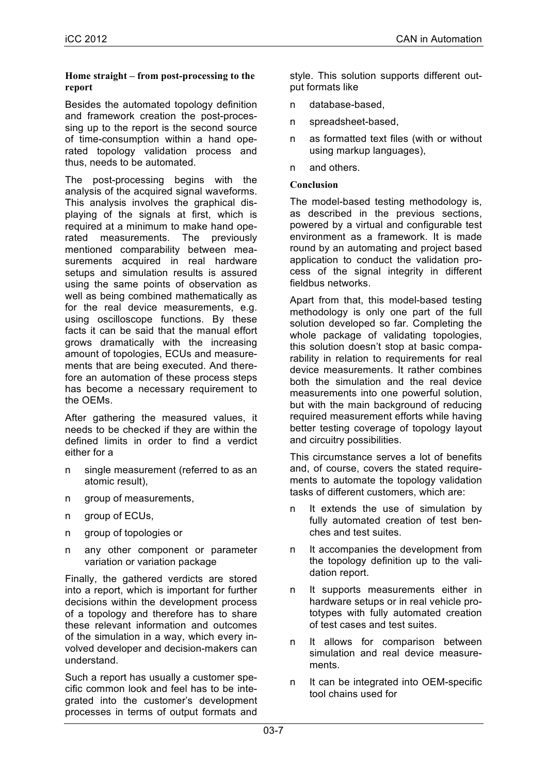#### **Home straight – from post-processing to the report**

Besides the automated topology definition and framework creation the post-processing up to the report is the second source of time-consumption within a hand operated topology validation process and thus, needs to be automated.

The post-processing begins with the analysis of the acquired signal waveforms. This analysis involves the graphical displaying of the signals at first, which is required at a minimum to make hand operated measurements. The previously mentioned comparability between measurements acquired in real hardware setups and simulation results is assured using the same points of observation as well as being combined mathematically as for the real device measurements, e.g. using oscilloscope functions. By these facts it can be said that the manual effort grows dramatically with the increasing amount of topologies, ECUs and measurements that are being executed. And therefore an automation of these process steps has become a necessary requirement to the OEMs.

After gathering the measured values, it needs to be checked if they are within the defined limits in order to find a verdict either for a

- n single measurement (referred to as an atomic result),
- n aroup of measurements.
- n group of ECUs,
- n group of topologies or
- n any other component or parameter variation or variation package

Finally, the gathered verdicts are stored into a report, which is important for further decisions within the development process of a topology and therefore has to share these relevant information and outcomes of the simulation in a way, which every involved developer and decision-makers can understand.

Such a report has usually a customer specific common look and feel has to be integrated into the customer's development processes in terms of output formats and

style. This solution supports different output formats like

- n database-based,
- n spreadsheet-based,
- n as formatted text files (with or without using markup languages),
- n and others.

#### **Conclusion**

The model-based testing methodology is, as described in the previous sections, powered by a virtual and configurable test environment as a framework. It is made round by an automating and project based application to conduct the validation process of the signal integrity in different fieldbus networks.

Apart from that, this model-based testing methodology is only one part of the full solution developed so far. Completing the whole package of validating topologies, this solution doesn't stop at basic comparability in relation to requirements for real device measurements. It rather combines both the simulation and the real device measurements into one powerful solution, but with the main background of reducing required measurement efforts while having better testing coverage of topology layout and circuitry possibilities.

This circumstance serves a lot of benefits and, of course, covers the stated requirements to automate the topology validation tasks of different customers, which are:

- n It extends the use of simulation by fully automated creation of test benches and test suites.
- n It accompanies the development from the topology definition up to the validation report.
- n It supports measurements either in hardware setups or in real vehicle prototypes with fully automated creation of test cases and test suites.
- n It allows for comparison between simulation and real device measurements.
- n It can be integrated into OEM-specific tool chains used for